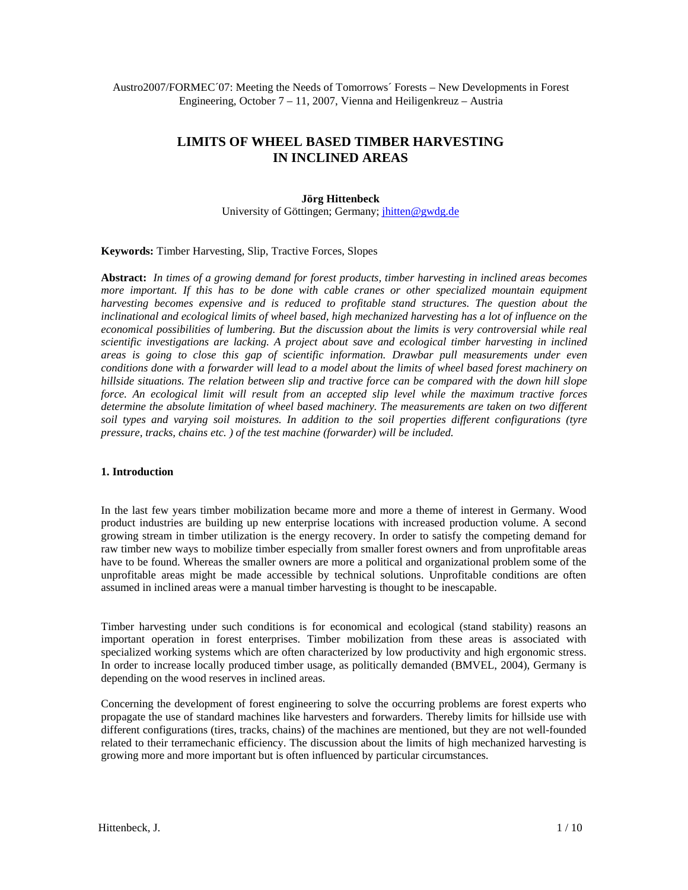Austro2007/FORMEC´07: Meeting the Needs of Tomorrows´ Forests – New Developments in Forest Engineering, October  $7 - 11$ , 2007, Vienna and Heiligenkreuz – Austria

# **LIMITS OF WHEEL BASED TIMBER HARVESTING IN INCLINED AREAS**

#### **Jörg Hittenbeck**

University of Göttingen; Germany; jhitten@gwdg.de

**Keywords:** Timber Harvesting, Slip, Tractive Forces, Slopes

**Abstract:** *In times of a growing demand for forest products, timber harvesting in inclined areas becomes more important. If this has to be done with cable cranes or other specialized mountain equipment harvesting becomes expensive and is reduced to profitable stand structures. The question about the inclinational and ecological limits of wheel based, high mechanized harvesting has a lot of influence on the economical possibilities of lumbering. But the discussion about the limits is very controversial while real scientific investigations are lacking. A project about save and ecological timber harvesting in inclined areas is going to close this gap of scientific information. Drawbar pull measurements under even conditions done with a forwarder will lead to a model about the limits of wheel based forest machinery on hillside situations. The relation between slip and tractive force can be compared with the down hill slope force. An ecological limit will result from an accepted slip level while the maximum tractive forces determine the absolute limitation of wheel based machinery. The measurements are taken on two different soil types and varying soil moistures. In addition to the soil properties different configurations (tyre pressure, tracks, chains etc. ) of the test machine (forwarder) will be included.* 

#### **1. Introduction**

In the last few years timber mobilization became more and more a theme of interest in Germany. Wood product industries are building up new enterprise locations with increased production volume. A second growing stream in timber utilization is the energy recovery. In order to satisfy the competing demand for raw timber new ways to mobilize timber especially from smaller forest owners and from unprofitable areas have to be found. Whereas the smaller owners are more a political and organizational problem some of the unprofitable areas might be made accessible by technical solutions. Unprofitable conditions are often assumed in inclined areas were a manual timber harvesting is thought to be inescapable.

Timber harvesting under such conditions is for economical and ecological (stand stability) reasons an important operation in forest enterprises. Timber mobilization from these areas is associated with specialized working systems which are often characterized by low productivity and high ergonomic stress. In order to increase locally produced timber usage, as politically demanded (BMVEL, 2004), Germany is depending on the wood reserves in inclined areas.

Concerning the development of forest engineering to solve the occurring problems are forest experts who propagate the use of standard machines like harvesters and forwarders. Thereby limits for hillside use with different configurations (tires, tracks, chains) of the machines are mentioned, but they are not well-founded related to their terramechanic efficiency. The discussion about the limits of high mechanized harvesting is growing more and more important but is often influenced by particular circumstances.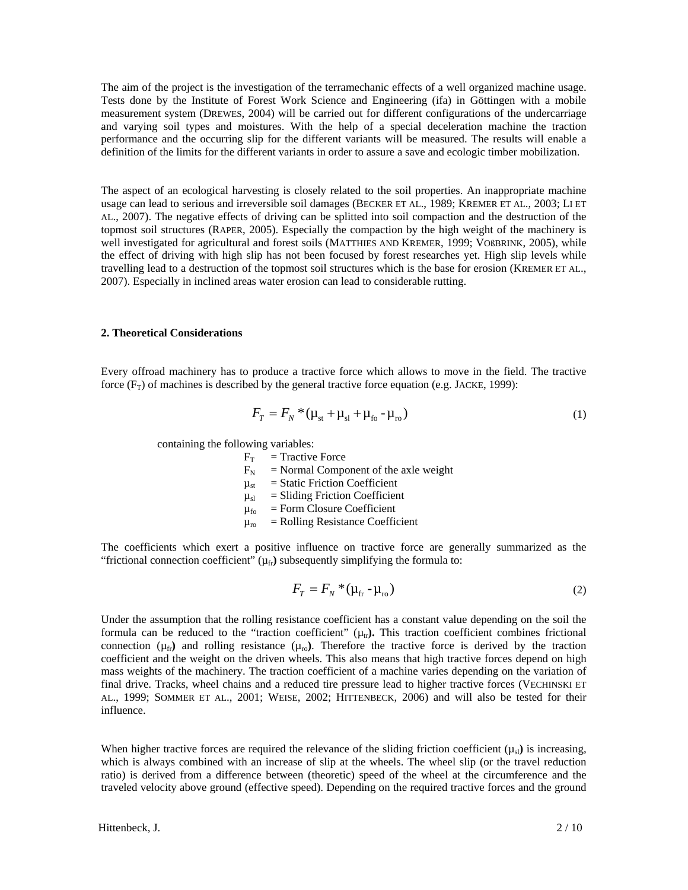The aim of the project is the investigation of the terramechanic effects of a well organized machine usage. Tests done by the Institute of Forest Work Science and Engineering (ifa) in Göttingen with a mobile measurement system (DREWES, 2004) will be carried out for different configurations of the undercarriage and varying soil types and moistures. With the help of a special deceleration machine the traction performance and the occurring slip for the different variants will be measured. The results will enable a definition of the limits for the different variants in order to assure a save and ecologic timber mobilization.

The aspect of an ecological harvesting is closely related to the soil properties. An inappropriate machine usage can lead to serious and irreversible soil damages (BECKER ET AL., 1989; KREMER ET AL., 2003; LI ET AL., 2007). The negative effects of driving can be splitted into soil compaction and the destruction of the topmost soil structures (RAPER, 2005). Especially the compaction by the high weight of the machinery is well investigated for agricultural and forest soils (MATTHIES AND KREMER, 1999; VOßBRINK, 2005), while the effect of driving with high slip has not been focused by forest researches yet. High slip levels while travelling lead to a destruction of the topmost soil structures which is the base for erosion (KREMER ET AL., 2007). Especially in inclined areas water erosion can lead to considerable rutting.

# **2. Theoretical Considerations**

Every offroad machinery has to produce a tractive force which allows to move in the field. The tractive force  $(F_T)$  of machines is described by the general tractive force equation (e.g. JACKE, 1999):

$$
F_T = F_N * (\mu_{st} + \mu_{sl} + \mu_{fo} - \mu_{ro})
$$
 (1)

containing the following variables:

| $F_T$          | $=$ Tractive Force                      |
|----------------|-----------------------------------------|
| $F_N$          | $=$ Normal Component of the axle weight |
| $\mu_{\rm st}$ | $=$ Static Friction Coefficient         |
| $\mu_{sl}$     | $=$ Sliding Friction Coefficient        |
| $\mu_{\rm fo}$ | $=$ Form Closure Coefficient            |
| $\mu_{\rm ro}$ | $=$ Rolling Resistance Coefficient      |

The coefficients which exert a positive influence on tractive force are generally summarized as the "frictional connection coefficient"  $(\mu_{fr})$  subsequently simplifying the formula to:

$$
F_T = F_N \cdot (\mu_{\rm fr} - \mu_{\rm ro}) \tag{2}
$$

Under the assumption that the rolling resistance coefficient has a constant value depending on the soil the formula can be reduced to the "traction coefficient"  $(\mu_{tr})$ . This traction coefficient combines frictional connection  $(\mu_{fr})$  and rolling resistance  $(\mu_{r0})$ . Therefore the tractive force is derived by the traction coefficient and the weight on the driven wheels. This also means that high tractive forces depend on high mass weights of the machinery. The traction coefficient of a machine varies depending on the variation of final drive. Tracks, wheel chains and a reduced tire pressure lead to higher tractive forces (VECHINSKI ET AL., 1999; SOMMER ET AL., 2001; WEISE, 2002; HITTENBECK, 2006) and will also be tested for their influence.

When higher tractive forces are required the relevance of the sliding friction coefficient  $(\mu_{sl})$  is increasing, which is always combined with an increase of slip at the wheels. The wheel slip (or the travel reduction ratio) is derived from a difference between (theoretic) speed of the wheel at the circumference and the traveled velocity above ground (effective speed). Depending on the required tractive forces and the ground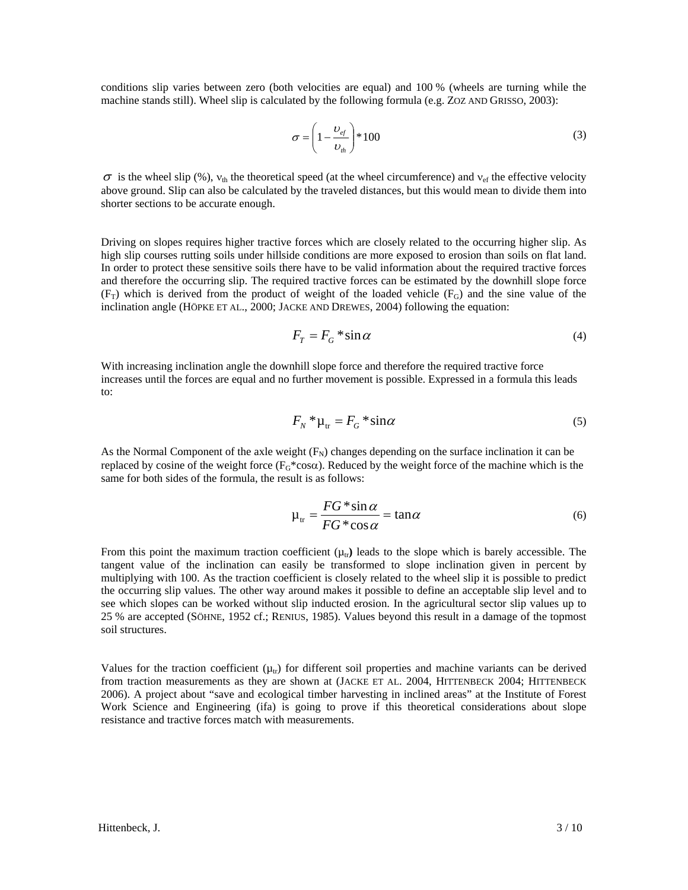conditions slip varies between zero (both velocities are equal) and 100 % (wheels are turning while the machine stands still). Wheel slip is calculated by the following formula (e.g. ZOZ AND GRISSO, 2003):

$$
\sigma = \left(1 - \frac{\upsilon_{\text{ef}}}{\upsilon_{\text{th}}}\right) * 100\tag{3}
$$

 $\sigma$  is the wheel slip (%),  $v_{th}$  the theoretical speed (at the wheel circumference) and  $v_{\rm ef}$  the effective velocity above ground. Slip can also be calculated by the traveled distances, but this would mean to divide them into shorter sections to be accurate enough.

Driving on slopes requires higher tractive forces which are closely related to the occurring higher slip. As high slip courses rutting soils under hillside conditions are more exposed to erosion than soils on flat land. In order to protect these sensitive soils there have to be valid information about the required tractive forces and therefore the occurring slip. The required tractive forces can be estimated by the downhill slope force  $(F_T)$  which is derived from the product of weight of the loaded vehicle  $(F_G)$  and the sine value of the inclination angle (HÖPKE ET AL., 2000; JACKE AND DREWES, 2004) following the equation:

$$
F_T = F_G * \sin \alpha \tag{4}
$$

With increasing inclination angle the downhill slope force and therefore the required tractive force increases until the forces are equal and no further movement is possible. Expressed in a formula this leads to:

$$
F_N^* \mu_{tr} = F_G^* \sin \alpha \tag{5}
$$

As the Normal Component of the axle weight  $(F_N)$  changes depending on the surface inclination it can be replaced by cosine of the weight force  $(F_G^*cos\alpha)$ . Reduced by the weight force of the machine which is the same for both sides of the formula, the result is as follows:

$$
\mu_{tr} = \frac{FG * \sin \alpha}{FG * \cos \alpha} = \tan \alpha \tag{6}
$$

From this point the maximum traction coefficient  $(\mu_{tr})$  leads to the slope which is barely accessible. The tangent value of the inclination can easily be transformed to slope inclination given in percent by multiplying with 100. As the traction coefficient is closely related to the wheel slip it is possible to predict the occurring slip values. The other way around makes it possible to define an acceptable slip level and to see which slopes can be worked without slip inducted erosion. In the agricultural sector slip values up to 25 % are accepted (SÖHNE, 1952 cf.; RENIUS, 1985). Values beyond this result in a damage of the topmost soil structures.

Values for the traction coefficient ( $\mu_{tr}$ ) for different soil properties and machine variants can be derived from traction measurements as they are shown at (JACKE ET AL. 2004, HITTENBECK 2004; HITTENBECK 2006). A project about "save and ecological timber harvesting in inclined areas" at the Institute of Forest Work Science and Engineering (ifa) is going to prove if this theoretical considerations about slope resistance and tractive forces match with measurements.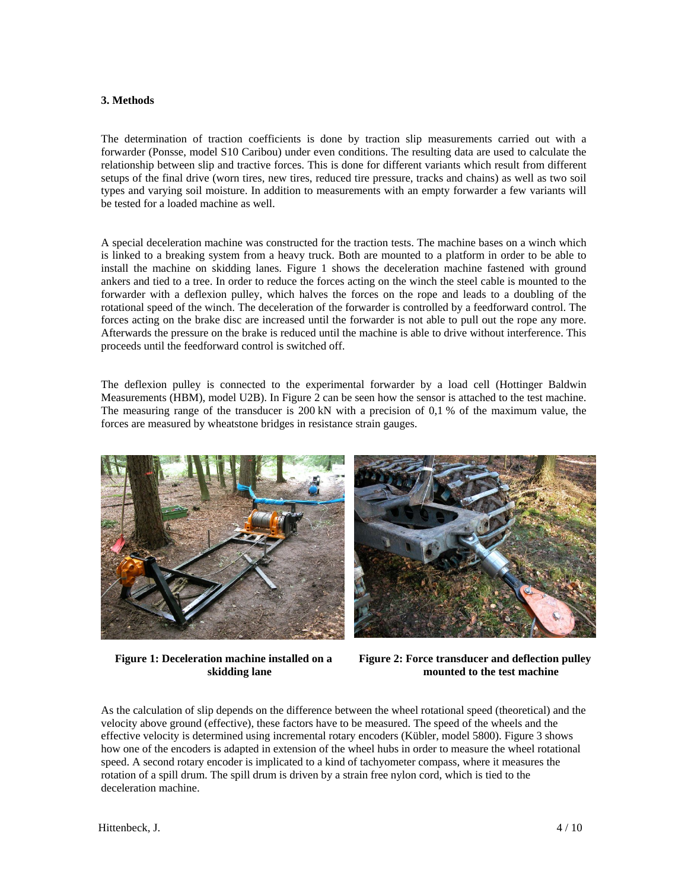# **3. Methods**

The determination of traction coefficients is done by traction slip measurements carried out with a forwarder (Ponsse, model S10 Caribou) under even conditions. The resulting data are used to calculate the relationship between slip and tractive forces. This is done for different variants which result from different setups of the final drive (worn tires, new tires, reduced tire pressure, tracks and chains) as well as two soil types and varying soil moisture. In addition to measurements with an empty forwarder a few variants will be tested for a loaded machine as well.

A special deceleration machine was constructed for the traction tests. The machine bases on a winch which is linked to a breaking system from a heavy truck. Both are mounted to a platform in order to be able to install the machine on skidding lanes. Figure 1 shows the deceleration machine fastened with ground ankers and tied to a tree. In order to reduce the forces acting on the winch the steel cable is mounted to the forwarder with a deflexion pulley, which halves the forces on the rope and leads to a doubling of the rotational speed of the winch. The deceleration of the forwarder is controlled by a feedforward control. The forces acting on the brake disc are increased until the forwarder is not able to pull out the rope any more. Afterwards the pressure on the brake is reduced until the machine is able to drive without interference. This proceeds until the feedforward control is switched off.

The deflexion pulley is connected to the experimental forwarder by a load cell (Hottinger Baldwin Measurements (HBM), model U2B). In Figure 2 can be seen how the sensor is attached to the test machine. The measuring range of the transducer is 200 kN with a precision of 0,1 % of the maximum value, the forces are measured by wheatstone bridges in resistance strain gauges.



**Figure 1: Deceleration machine installed on a skidding lane** 



**Figure 2: Force transducer and deflection pulley mounted to the test machine** 

As the calculation of slip depends on the difference between the wheel rotational speed (theoretical) and the velocity above ground (effective), these factors have to be measured. The speed of the wheels and the effective velocity is determined using incremental rotary encoders (Kübler, model 5800). Figure 3 shows how one of the encoders is adapted in extension of the wheel hubs in order to measure the wheel rotational speed. A second rotary encoder is implicated to a kind of tachyometer compass, where it measures the rotation of a spill drum. The spill drum is driven by a strain free nylon cord, which is tied to the deceleration machine.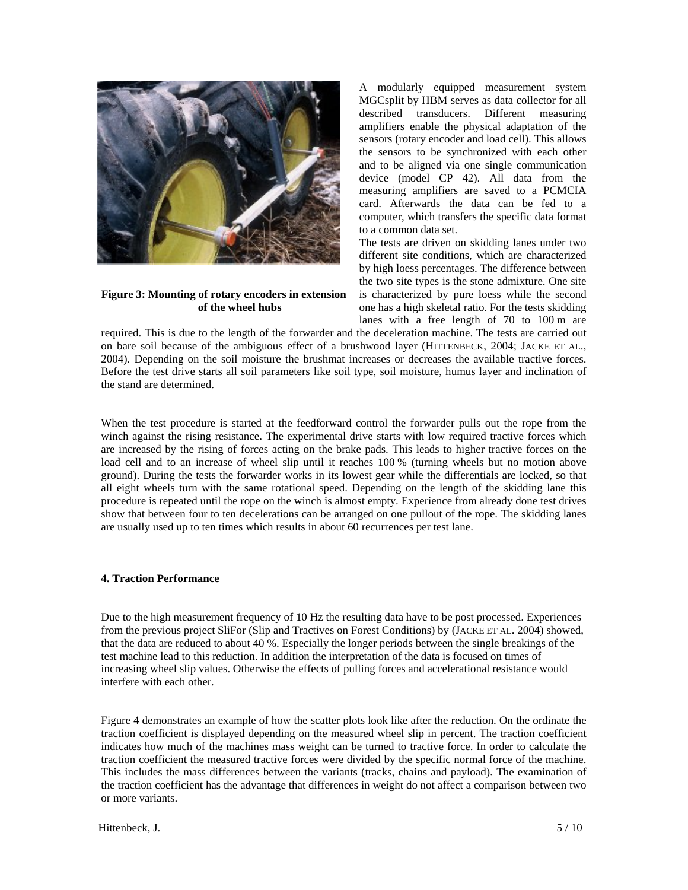

**Figure 3: Mounting of rotary encoders in extension of the wheel hubs** 

A modularly equipped measurement system MGCsplit by HBM serves as data collector for all described transducers. Different measuring amplifiers enable the physical adaptation of the sensors (rotary encoder and load cell). This allows the sensors to be synchronized with each other and to be aligned via one single communication device (model CP 42). All data from the measuring amplifiers are saved to a PCMCIA card. Afterwards the data can be fed to a computer, which transfers the specific data format to a common data set.

The tests are driven on skidding lanes under two different site conditions, which are characterized by high loess percentages. The difference between the two site types is the stone admixture. One site is characterized by pure loess while the second one has a high skeletal ratio. For the tests skidding lanes with a free length of 70 to 100 m are

required. This is due to the length of the forwarder and the deceleration machine. The tests are carried out on bare soil because of the ambiguous effect of a brushwood layer (HITTENBECK, 2004; JACKE ET AL., 2004). Depending on the soil moisture the brushmat increases or decreases the available tractive forces. Before the test drive starts all soil parameters like soil type, soil moisture, humus layer and inclination of the stand are determined.

When the test procedure is started at the feedforward control the forwarder pulls out the rope from the winch against the rising resistance. The experimental drive starts with low required tractive forces which are increased by the rising of forces acting on the brake pads. This leads to higher tractive forces on the load cell and to an increase of wheel slip until it reaches 100 % (turning wheels but no motion above ground). During the tests the forwarder works in its lowest gear while the differentials are locked, so that all eight wheels turn with the same rotational speed. Depending on the length of the skidding lane this procedure is repeated until the rope on the winch is almost empty. Experience from already done test drives show that between four to ten decelerations can be arranged on one pullout of the rope. The skidding lanes are usually used up to ten times which results in about 60 recurrences per test lane.

## **4. Traction Performance**

Due to the high measurement frequency of 10 Hz the resulting data have to be post processed. Experiences from the previous project SliFor (Slip and Tractives on Forest Conditions) by (JACKE ET AL. 2004) showed, that the data are reduced to about 40 %. Especially the longer periods between the single breakings of the test machine lead to this reduction. In addition the interpretation of the data is focused on times of increasing wheel slip values. Otherwise the effects of pulling forces and accelerational resistance would interfere with each other.

Figure 4 demonstrates an example of how the scatter plots look like after the reduction. On the ordinate the traction coefficient is displayed depending on the measured wheel slip in percent. The traction coefficient indicates how much of the machines mass weight can be turned to tractive force. In order to calculate the traction coefficient the measured tractive forces were divided by the specific normal force of the machine. This includes the mass differences between the variants (tracks, chains and payload). The examination of the traction coefficient has the advantage that differences in weight do not affect a comparison between two or more variants.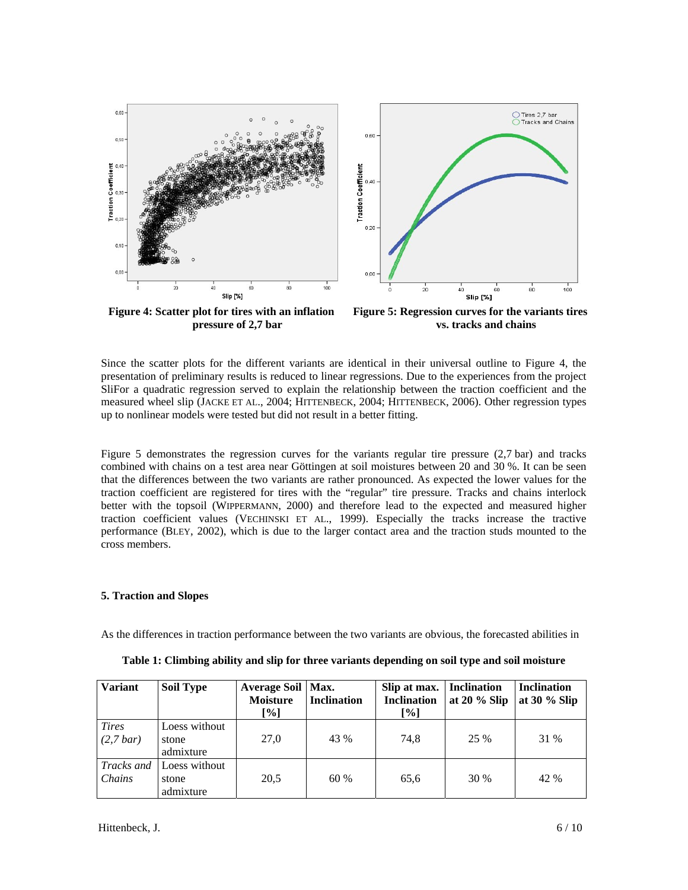

**Figure 4: Scatter plot for tires with an inflation pressure of 2,7 bar** 

**Figure 5: Regression curves for the variants tires vs. tracks and chains** 

Since the scatter plots for the different variants are identical in their universal outline to Figure 4, the presentation of preliminary results is reduced to linear regressions. Due to the experiences from the project SliFor a quadratic regression served to explain the relationship between the traction coefficient and the measured wheel slip (JACKE ET AL., 2004; HITTENBECK, 2004; HITTENBECK, 2006). Other regression types up to nonlinear models were tested but did not result in a better fitting.

Figure 5 demonstrates the regression curves for the variants regular tire pressure (2,7 bar) and tracks combined with chains on a test area near Göttingen at soil moistures between 20 and 30 %. It can be seen that the differences between the two variants are rather pronounced. As expected the lower values for the traction coefficient are registered for tires with the "regular" tire pressure. Tracks and chains interlock better with the topsoil (WIPPERMANN, 2000) and therefore lead to the expected and measured higher traction coefficient values (VECHINSKI ET AL., 1999). Especially the tracks increase the tractive performance (BLEY, 2002), which is due to the larger contact area and the traction studs mounted to the cross members.

## **5. Traction and Slopes**

As the differences in traction performance between the two variants are obvious, the forecasted abilities in

| <b>Variant</b>              | <b>Soil Type</b>                    | Average Soil   Max.<br><b>Moisture</b><br>[%] | <b>Inclination</b> | Slip at max.<br><b>Inclination</b><br>$[\%]$ | <b>Inclination</b><br>at $20\%$ Slip | <b>Inclination</b><br>at $30\%$ Slip |
|-----------------------------|-------------------------------------|-----------------------------------------------|--------------------|----------------------------------------------|--------------------------------------|--------------------------------------|
| <b>Tires</b><br>$(2,7$ bar) | Loess without<br>stone<br>admixture | 27,0                                          | 43 %               | 74.8                                         | 25 %                                 | 31 %                                 |
| Tracks and<br>Chains        | Loess without<br>stone<br>admixture | 20,5                                          | 60 %               | 65.6                                         | 30 %                                 | 42 %                                 |

**Table 1: Climbing ability and slip for three variants depending on soil type and soil moisture**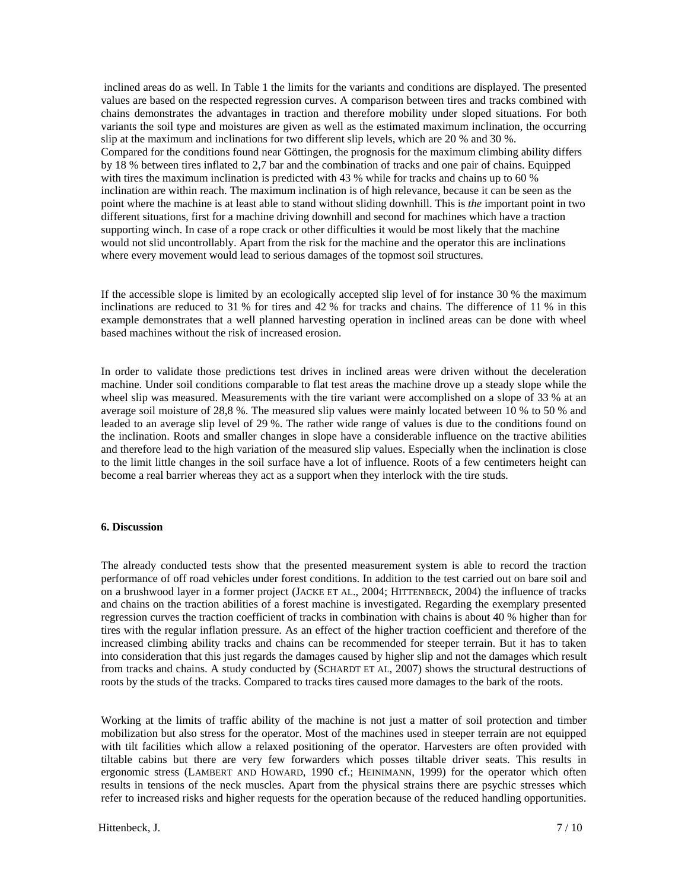inclined areas do as well. In Table 1 the limits for the variants and conditions are displayed. The presented values are based on the respected regression curves. A comparison between tires and tracks combined with chains demonstrates the advantages in traction and therefore mobility under sloped situations. For both variants the soil type and moistures are given as well as the estimated maximum inclination, the occurring slip at the maximum and inclinations for two different slip levels, which are 20 % and 30 %. Compared for the conditions found near Göttingen, the prognosis for the maximum climbing ability differs by 18 % between tires inflated to 2,7 bar and the combination of tracks and one pair of chains. Equipped with tires the maximum inclination is predicted with 43 % while for tracks and chains up to 60 % inclination are within reach. The maximum inclination is of high relevance, because it can be seen as the point where the machine is at least able to stand without sliding downhill. This is *the* important point in two different situations, first for a machine driving downhill and second for machines which have a traction supporting winch. In case of a rope crack or other difficulties it would be most likely that the machine would not slid uncontrollably. Apart from the risk for the machine and the operator this are inclinations where every movement would lead to serious damages of the topmost soil structures.

If the accessible slope is limited by an ecologically accepted slip level of for instance 30 % the maximum inclinations are reduced to 31 % for tires and 42 % for tracks and chains. The difference of 11 % in this example demonstrates that a well planned harvesting operation in inclined areas can be done with wheel based machines without the risk of increased erosion.

In order to validate those predictions test drives in inclined areas were driven without the deceleration machine. Under soil conditions comparable to flat test areas the machine drove up a steady slope while the wheel slip was measured. Measurements with the tire variant were accomplished on a slope of 33 % at an average soil moisture of 28,8 %. The measured slip values were mainly located between 10 % to 50 % and leaded to an average slip level of 29 %. The rather wide range of values is due to the conditions found on the inclination. Roots and smaller changes in slope have a considerable influence on the tractive abilities and therefore lead to the high variation of the measured slip values. Especially when the inclination is close to the limit little changes in the soil surface have a lot of influence. Roots of a few centimeters height can become a real barrier whereas they act as a support when they interlock with the tire studs.

#### **6. Discussion**

The already conducted tests show that the presented measurement system is able to record the traction performance of off road vehicles under forest conditions. In addition to the test carried out on bare soil and on a brushwood layer in a former project (JACKE ET AL., 2004; HITTENBECK, 2004) the influence of tracks and chains on the traction abilities of a forest machine is investigated. Regarding the exemplary presented regression curves the traction coefficient of tracks in combination with chains is about 40 % higher than for tires with the regular inflation pressure. As an effect of the higher traction coefficient and therefore of the increased climbing ability tracks and chains can be recommended for steeper terrain. But it has to taken into consideration that this just regards the damages caused by higher slip and not the damages which result from tracks and chains. A study conducted by (SCHARDT ET AL, 2007) shows the structural destructions of roots by the studs of the tracks. Compared to tracks tires caused more damages to the bark of the roots.

Working at the limits of traffic ability of the machine is not just a matter of soil protection and timber mobilization but also stress for the operator. Most of the machines used in steeper terrain are not equipped with tilt facilities which allow a relaxed positioning of the operator. Harvesters are often provided with tiltable cabins but there are very few forwarders which posses tiltable driver seats. This results in ergonomic stress (LAMBERT AND HOWARD, 1990 cf.; HEINIMANN, 1999) for the operator which often results in tensions of the neck muscles. Apart from the physical strains there are psychic stresses which refer to increased risks and higher requests for the operation because of the reduced handling opportunities.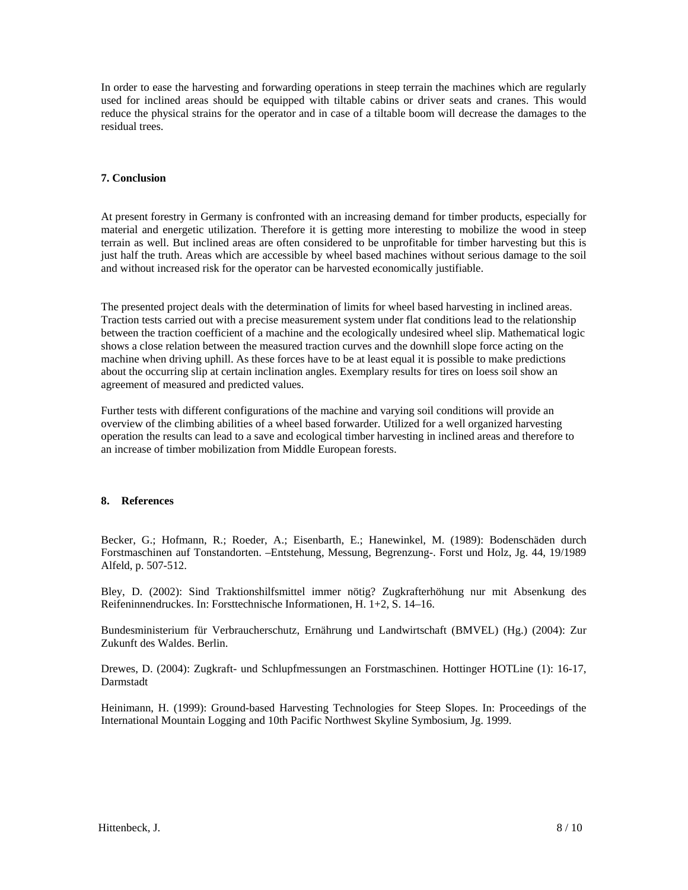In order to ease the harvesting and forwarding operations in steep terrain the machines which are regularly used for inclined areas should be equipped with tiltable cabins or driver seats and cranes. This would reduce the physical strains for the operator and in case of a tiltable boom will decrease the damages to the residual trees.

# **7. Conclusion**

At present forestry in Germany is confronted with an increasing demand for timber products, especially for material and energetic utilization. Therefore it is getting more interesting to mobilize the wood in steep terrain as well. But inclined areas are often considered to be unprofitable for timber harvesting but this is just half the truth. Areas which are accessible by wheel based machines without serious damage to the soil and without increased risk for the operator can be harvested economically justifiable.

The presented project deals with the determination of limits for wheel based harvesting in inclined areas. Traction tests carried out with a precise measurement system under flat conditions lead to the relationship between the traction coefficient of a machine and the ecologically undesired wheel slip. Mathematical logic shows a close relation between the measured traction curves and the downhill slope force acting on the machine when driving uphill. As these forces have to be at least equal it is possible to make predictions about the occurring slip at certain inclination angles. Exemplary results for tires on loess soil show an agreement of measured and predicted values.

Further tests with different configurations of the machine and varying soil conditions will provide an overview of the climbing abilities of a wheel based forwarder. Utilized for a well organized harvesting operation the results can lead to a save and ecological timber harvesting in inclined areas and therefore to an increase of timber mobilization from Middle European forests.

## **8. References**

Becker, G.; Hofmann, R.; Roeder, A.; Eisenbarth, E.; Hanewinkel, M. (1989): Bodenschäden durch Forstmaschinen auf Tonstandorten. –Entstehung, Messung, Begrenzung-. Forst und Holz, Jg. 44, 19/1989 Alfeld, p. 507-512.

Bley, D. (2002): Sind Traktionshilfsmittel immer nötig? Zugkrafterhöhung nur mit Absenkung des Reifeninnendruckes. In: Forsttechnische Informationen, H. 1+2, S. 14–16.

Bundesministerium für Verbraucherschutz, Ernährung und Landwirtschaft (BMVEL) (Hg.) (2004): Zur Zukunft des Waldes. Berlin.

Drewes, D. (2004): Zugkraft- und Schlupfmessungen an Forstmaschinen. Hottinger HOTLine (1): 16-17, Darmstadt

Heinimann, H. (1999): Ground-based Harvesting Technologies for Steep Slopes. In: Proceedings of the International Mountain Logging and 10th Pacific Northwest Skyline Symbosium, Jg. 1999.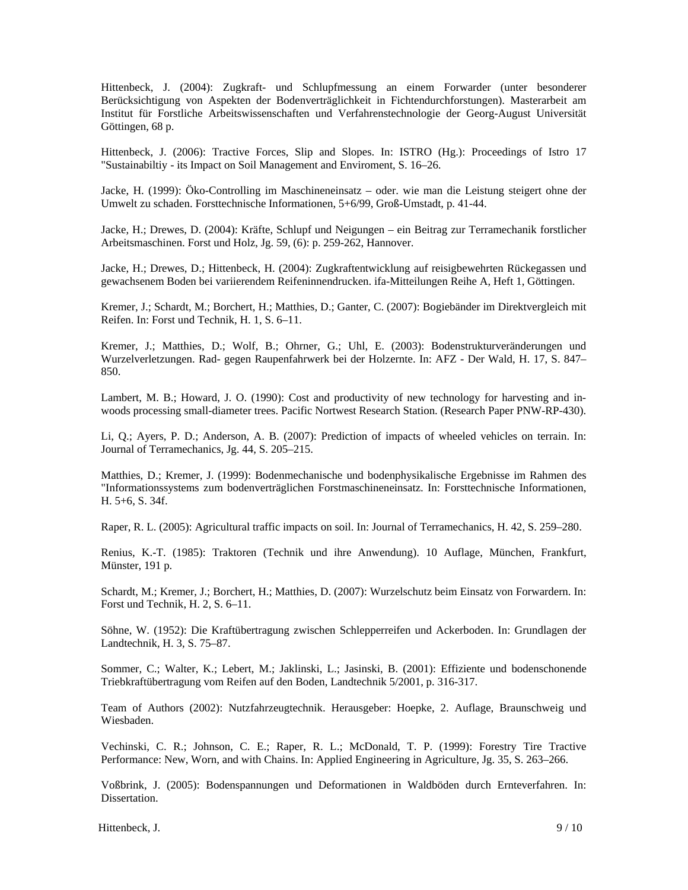Hittenbeck, J. (2004): Zugkraft- und Schlupfmessung an einem Forwarder (unter besonderer Berücksichtigung von Aspekten der Bodenverträglichkeit in Fichtendurchforstungen). Masterarbeit am Institut für Forstliche Arbeitswissenschaften und Verfahrenstechnologie der Georg-August Universität Göttingen, 68 p.

Hittenbeck, J. (2006): Tractive Forces, Slip and Slopes. In: ISTRO (Hg.): Proceedings of Istro 17 "Sustainabiltiy - its Impact on Soil Management and Enviroment, S. 16–26.

Jacke, H. (1999): Öko-Controlling im Maschineneinsatz – oder. wie man die Leistung steigert ohne der Umwelt zu schaden. Forsttechnische Informationen, 5+6/99, Groß-Umstadt, p. 41-44.

Jacke, H.; Drewes, D. (2004): Kräfte, Schlupf und Neigungen – ein Beitrag zur Terramechanik forstlicher Arbeitsmaschinen. Forst und Holz, Jg. 59, (6): p. 259-262, Hannover.

Jacke, H.; Drewes, D.; Hittenbeck, H. (2004): Zugkraftentwicklung auf reisigbewehrten Rückegassen und gewachsenem Boden bei variierendem Reifeninnendrucken. ifa-Mitteilungen Reihe A, Heft 1, Göttingen.

Kremer, J.; Schardt, M.; Borchert, H.; Matthies, D.; Ganter, C. (2007): Bogiebänder im Direktvergleich mit Reifen. In: Forst und Technik, H. 1, S. 6–11.

Kremer, J.; Matthies, D.; Wolf, B.; Ohrner, G.; Uhl, E. (2003): Bodenstrukturveränderungen und Wurzelverletzungen. Rad- gegen Raupenfahrwerk bei der Holzernte. In: AFZ - Der Wald, H. 17, S. 847– 850.

Lambert, M. B.; Howard, J. O. (1990): Cost and productivity of new technology for harvesting and inwoods processing small-diameter trees. Pacific Nortwest Research Station. (Research Paper PNW-RP-430).

Li, Q.; Ayers, P. D.; Anderson, A. B. (2007): Prediction of impacts of wheeled vehicles on terrain. In: Journal of Terramechanics, Jg. 44, S. 205–215.

Matthies, D.; Kremer, J. (1999): Bodenmechanische und bodenphysikalische Ergebnisse im Rahmen des "Informationssystems zum bodenverträglichen Forstmaschineneinsatz. In: Forsttechnische Informationen, H. 5+6, S. 34f.

Raper, R. L. (2005): Agricultural traffic impacts on soil. In: Journal of Terramechanics, H. 42, S. 259–280.

Renius, K.-T. (1985): Traktoren (Technik und ihre Anwendung). 10 Auflage, München, Frankfurt, Münster, 191 p.

Schardt, M.; Kremer, J.; Borchert, H.; Matthies, D. (2007): Wurzelschutz beim Einsatz von Forwardern. In: Forst und Technik, H. 2, S. 6–11.

Söhne, W. (1952): Die Kraftübertragung zwischen Schlepperreifen und Ackerboden. In: Grundlagen der Landtechnik, H. 3, S. 75–87.

Sommer, C.; Walter, K.; Lebert, M.; Jaklinski, L.; Jasinski, B. (2001): Effiziente und bodenschonende Triebkraftübertragung vom Reifen auf den Boden, Landtechnik 5/2001, p. 316-317.

Team of Authors (2002): Nutzfahrzeugtechnik. Herausgeber: Hoepke, 2. Auflage, Braunschweig und Wiesbaden.

Vechinski, C. R.; Johnson, C. E.; Raper, R. L.; McDonald, T. P. (1999): Forestry Tire Tractive Performance: New, Worn, and with Chains. In: Applied Engineering in Agriculture, Jg. 35, S. 263–266.

Voßbrink, J. (2005): Bodenspannungen und Deformationen in Waldböden durch Ernteverfahren. In: Dissertation.

Hittenbeck, J.  $9/10$